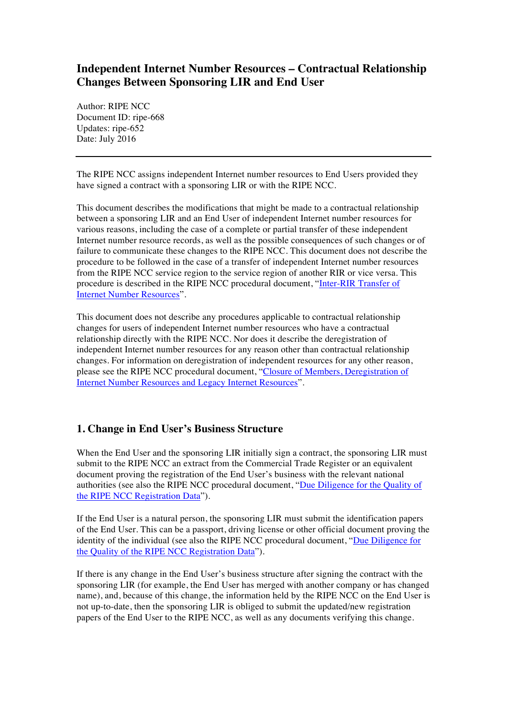# **Independent Internet Number Resources – Contractual Relationship Changes Between Sponsoring LIR and End User**

Author: RIPE NCC Document ID: ripe-668 Updates: ripe-652 Date: July 2016

The RIPE NCC assigns independent Internet number resources to End Users provided they have signed a contract with a sponsoring LIR or with the RIPE NCC.

This document describes the modifications that might be made to a contractual relationship between a sponsoring LIR and an End User of independent Internet number resources for various reasons, including the case of a complete or partial transfer of these independent Internet number resource records, as well as the possible consequences of such changes or of failure to communicate these changes to the RIPE NCC. This document does not describe the procedure to be followed in the case of a transfer of independent Internet number resources from the RIPE NCC service region to the service region of another RIR or vice versa. This procedure is described in the RIPE NCC procedural document, ["Inter-RIR Transfer of](https://www.ripe.net/publications/docs/inter-rir-transfer-of-inr) [Internet Number Resources](https://www.ripe.net/publications/docs/inter-rir-transfer-of-inr)".

This document does not describe any procedures applicable to contractual relationship changes for users of independent Internet number resources who have a contractual relationship directly with the RIPE NCC. Nor does it describe the deregistration of independent Internet number resources for any reason other than contractual relationship changes. For information on deregistration of independent resources for any other reason, please see the RIPE NCC procedural document, ["Closure of Members, Deregistration of](https://www.ripe.net/publications/docs/closure) [Internet Number Resources and Legacy Internet Resources](https://www.ripe.net/publications/docs/closure)".

## **1. Change in End User's Business Structure**

When the End User and the sponsoring LIR initially sign a contract, the sponsoring LIR must submit to the RIPE NCC an extract from the Commercial Trade Register or an equivalent document proving the registration of the End User's business with the relevant national authorities (see also the RIPE NCC procedural document, "[Due Diligence for the Quality of](https://www.ripe.net/publications/docs/due-diligence) [the RIPE NCC Registration Data](https://www.ripe.net/publications/docs/due-diligence)").

If the End User is a natural person, the sponsoring LIR must submit the identification papers of the End User. This can be a passport, driving license or other official document proving the identity of the individual (see also the RIPE NCC procedural document, ["Due Diligence for](https://www.ripe.net/publications/docs/due-diligence)  [the Quality of the RIPE NCC Registration Data](https://www.ripe.net/publications/docs/due-diligence)").

If there is any change in the End User's business structure after signing the contract with the sponsoring LIR (for example, the End User has merged with another company or has changed name), and, because of this change, the information held by the RIPE NCC on the End User is not up-to-date, then the sponsoring LIR is obliged to submit the updated/new registration papers of the End User to the RIPE NCC, as well as any documents verifying this change.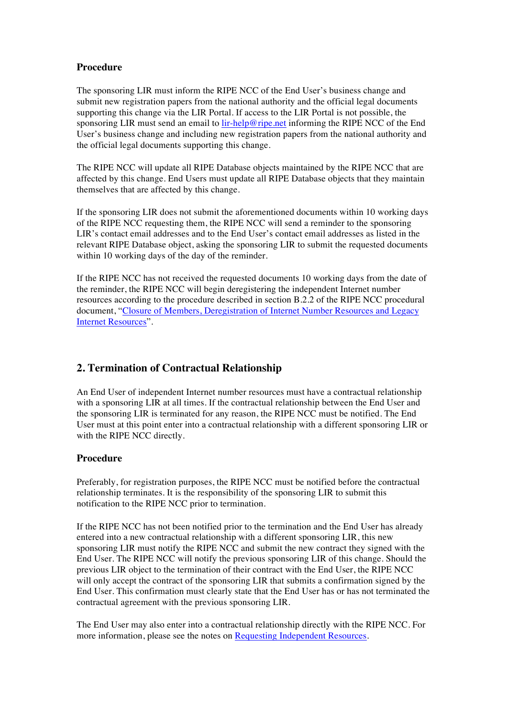### **Procedure**

The sponsoring LIR must inform the RIPE NCC of the End User's business change and submit new registration papers from the national authority and the official legal documents supporting this change via the LIR Portal. If access to the LIR Portal is not possible, the sponsoring LIR must send an email to [lir-help@ripe.net](mailto:lir-help@ripe.net) informing the RIPE NCC of the End User's business change and including new registration papers from the national authority and the official legal documents supporting this change.

The RIPE NCC will update all RIPE Database objects maintained by the RIPE NCC that are affected by this change. End Users must update all RIPE Database objects that they maintain themselves that are affected by this change.

If the sponsoring LIR does not submit the aforementioned documents within 10 working days of the RIPE NCC requesting them, the RIPE NCC will send a reminder to the sponsoring LIR's contact email addresses and to the End User's contact email addresses as listed in the relevant RIPE Database object, asking the sponsoring LIR to submit the requested documents within 10 working days of the day of the reminder.

If the RIPE NCC has not received the requested documents 10 working days from the date of the reminder, the RIPE NCC will begin deregistering the independent Internet number resources according to the procedure described in section B.2.2 of the RIPE NCC procedural document, "[Closure of Members, Deregistration of Internet Number Resources](https://www.ripe.net/publications/docs/closure) and Legacy [Internet Resources](https://www.ripe.net/publications/docs/closure)".

## **2. Termination of Contractual Relationship**

An End User of independent Internet number resources must have a contractual relationship with a sponsoring LIR at all times. If the contractual relationship between the End User and the sponsoring LIR is terminated for any reason, the RIPE NCC must be notified. The End User must at this point enter into a contractual relationship with a different sponsoring LIR or with the RIPE NCC directly.

### **Procedure**

Preferably, for registration purposes, the RIPE NCC must be notified before the contractual relationship terminates. It is the responsibility of the sponsoring LIR to submit this notification to the RIPE NCC prior to termination.

If the RIPE NCC has not been notified prior to the termination and the End User has already entered into a new contractual relationship with a different sponsoring LIR, this new sponsoring LIR must notify the RIPE NCC and submit the new contract they signed with the End User. The RIPE NCC will notify the previous sponsoring LIR of this change. Should the previous LIR object to the termination of their contract with the End User, the RIPE NCC will only accept the contract of the sponsoring LIR that submits a confirmation signed by the End User. This confirmation must clearly state that the End User has or has not terminated the contractual agreement with the previous sponsoring LIR.

The End User may also enter into a contractual relationship directly with the RIPE NCC. For more information, please see the notes on [Requesting Independent Resources](https://www.ripe.net/participate/resource-management/independent-resources).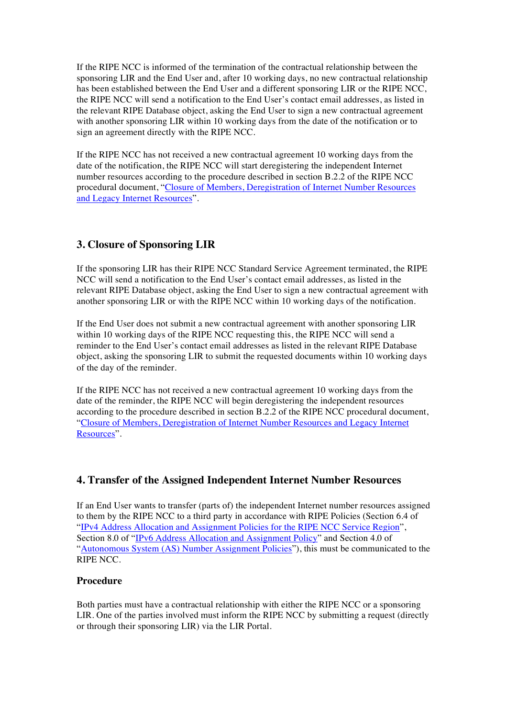If the RIPE NCC is informed of the termination of the contractual relationship between the sponsoring LIR and the End User and, after 10 working days, no new contractual relationship has been established between the End User and a different sponsoring LIR or the RIPE NCC, the RIPE NCC will send a notification to the End User's contact email addresses, as listed in the relevant RIPE Database object, asking the End User to sign a new contractual agreement with another sponsoring LIR within 10 working days from the date of the notification or to sign an agreement directly with the RIPE NCC.

If the RIPE NCC has not received a new contractual agreement 10 working days from the date of the notification, the RIPE NCC will start deregistering the independent Internet number resources according to the procedure described in section B.2.2 of the RIPE NCC procedural document, "Closure of Members, [Deregistration of Internet Number Resources](https://www.ripe.net/publications/docs/closure) and Legacy [Internet Resources"](https://www.ripe.net/publications/docs/closure).

## **3. Closure of Sponsoring LIR**

If the sponsoring LIR has their RIPE NCC Standard Service Agreement terminated, the RIPE NCC will send a notification to the End User's contact email addresses, as listed in the relevant RIPE Database object, asking the End User to sign a new contractual agreement with another sponsoring LIR or with the RIPE NCC within 10 working days of the notification.

If the End User does not submit a new contractual agreement with another sponsoring LIR within 10 working days of the RIPE NCC requesting this, the RIPE NCC will send a reminder to the End User's contact email addresses as listed in the relevant RIPE Database object, asking the sponsoring LIR to submit the requested documents within 10 working days of the day of the reminder.

If the RIPE NCC has not received a new contractual agreement 10 working days from the date of the reminder, the RIPE NCC will begin deregistering the independent resources according to the procedure described in section B.2.2 of the RIPE NCC procedural document, ["Closure of Members, Deregistration of Internet Number Resources](https://www.ripe.net/publications/docs/closure) and Legacy Internet [Resources](https://www.ripe.net/publications/docs/closure)".

## **4. Transfer of the Assigned Independent Internet Number Resources**

If an End User wants to transfer (parts of) the independent Internet number resources assigned to them by the RIPE NCC to a third party in accordance with RIPE Policies (Section 6.4 of ["IPv4 Address Allocation and Assignment Policies for the RIPE NCC Service Region](https://www.ripe.net/publications/docs/ipv4-policies)", Section 8.0 of "[IPv6 Address Allocation and Assignment Policy](https://www.ripe.net/publications/docs/ipv6-policy)" and Section 4.0 of ["Autonomous System \(AS\) Number Assignment Policies](https://www.ripe.net/publications/docs/asn-assignment-policies)"), this must be communicated to the RIPE NCC.

### **Procedure**

Both parties must have a contractual relationship with either the RIPE NCC or a sponsoring LIR. One of the parties involved must inform the RIPE NCC by submitting a request (directly or through their sponsoring LIR) via the LIR Portal.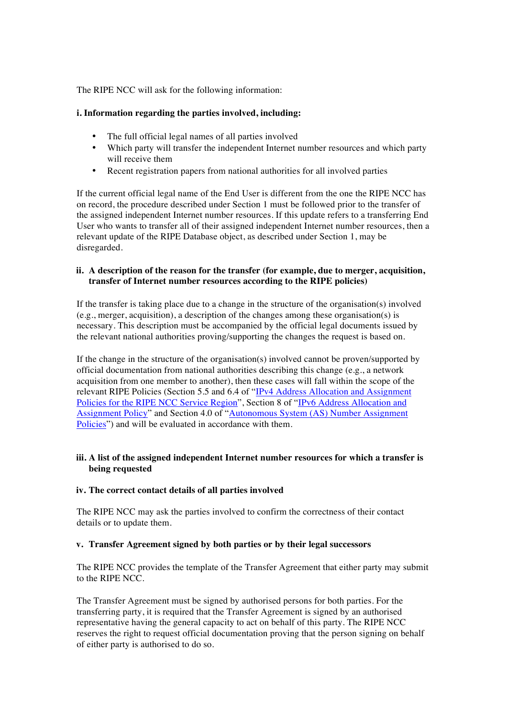The RIPE NCC will ask for the following information:

### **i. Information regarding the parties involved, including:**

- The full official legal names of all parties involved
- Which party will transfer the independent Internet number resources and which party will receive them
- Recent registration papers from national authorities for all involved parties

If the current official legal name of the End User is different from the one the RIPE NCC has on record, the procedure described under Section 1 must be followed prior to the transfer of the assigned independent Internet number resources. If this update refers to a transferring End User who wants to transfer all of their assigned independent Internet number resources, then a relevant update of the RIPE Database object, as described under Section 1, may be disregarded.

### **ii. A description of the reason for the transfer (for example, due to merger, acquisition, transfer of Internet number resources according to the RIPE policies)**

If the transfer is taking place due to a change in the structure of the organisation(s) involved (e.g., merger, acquisition), a description of the changes among these organisation(s) is necessary. This description must be accompanied by the official legal documents issued by the relevant national authorities proving/supporting the changes the request is based on.

If the change in the structure of the organisation(s) involved cannot be proven/supported by official documentation from national authorities describing this change (e.g., a network acquisition from one member to another), then these cases will fall within the scope of the relevant RIPE Policies (Section 5.5 and 6.4 of ["IPv4 Address Allocation and Assignment](https://www.ripe.net/publications/docs/ipv4-policies) [Policies for the RIPE NCC Service Region](https://www.ripe.net/publications/docs/ipv4-policies)", Section 8 of "[IPv6 Address Allocation and](https://www.ripe.net/publications/docs/ipv6-policy) [Assignment Policy](https://www.ripe.net/publications/docs/ipv6-policy)" and Section 4.0 of ["Autonomous System \(AS\) Number Assignment](https://www.ripe.net/publications/docs/asn-assignment-policies) [Policies](https://www.ripe.net/publications/docs/asn-assignment-policies)") and will be evaluated in accordance with them.

### **iii. A list of the assigned independent Internet number resources for which a transfer is being requested**

#### **iv. The correct contact details of all parties involved**

The RIPE NCC may ask the parties involved to confirm the correctness of their contact details or to update them.

#### **v. Transfer Agreement signed by both parties or by their legal successors**

The RIPE NCC provides the template of the Transfer Agreement that either party may submit to the RIPE NCC.

The Transfer Agreement must be signed by authorised persons for both parties. For the transferring party, it is required that the Transfer Agreement is signed by an authorised representative having the general capacity to act on behalf of this party. The RIPE NCC reserves the right to request official documentation proving that the person signing on behalf of either party is authorised to do so.